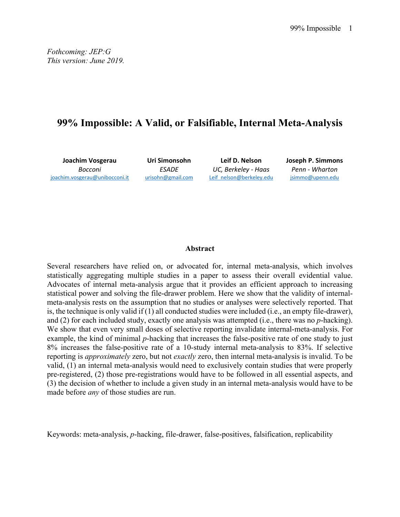*Fothcoming: JEP:G This version: June 2019.* 

## **99% Impossible: A Valid, or Falsifiable, Internal Meta-Analysis**

**Joachim Vosgerau**  *Bocconi*  joachim.vosgerau@unibocconi.it

**Uri Simonsohn**  *ESADE*  urisohn@gmail.com

**Leif D. Nelson**  *UC, Berkeley ‐ Haas*  Leif\_nelson@berkeley.edu **Joseph P. Simmons**  *Penn ‐ Wharton*  jsimmo@upenn.edu

#### **Abstract**

Several researchers have relied on, or advocated for, internal meta-analysis, which involves statistically aggregating multiple studies in a paper to assess their overall evidential value. Advocates of internal meta-analysis argue that it provides an efficient approach to increasing statistical power and solving the file-drawer problem. Here we show that the validity of internalmeta-analysis rests on the assumption that no studies or analyses were selectively reported. That is, the technique is only valid if (1) all conducted studies were included (i.e., an empty file-drawer), and (2) for each included study, exactly one analysis was attempted (i.e., there was no *p*-hacking). We show that even very small doses of selective reporting invalidate internal-meta-analysis. For example, the kind of minimal *p*-hacking that increases the false-positive rate of one study to just 8% increases the false-positive rate of a 10-study internal meta-analysis to 83%. If selective reporting is *approximately* zero, but not *exactly* zero, then internal meta-analysis is invalid. To be valid, (1) an internal meta-analysis would need to exclusively contain studies that were properly pre-registered, (2) those pre-registrations would have to be followed in all essential aspects, and (3) the decision of whether to include a given study in an internal meta-analysis would have to be made before *any* of those studies are run.

Keywords: meta-analysis, *p*-hacking, file-drawer, false-positives, falsification, replicability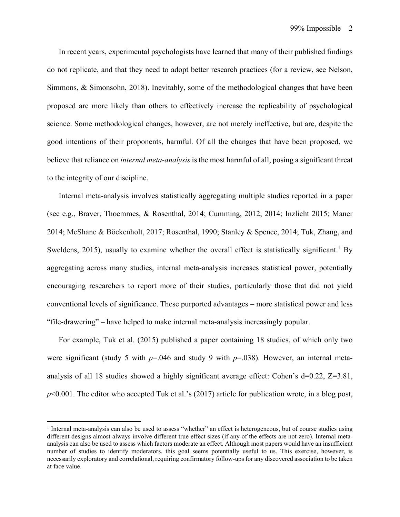In recent years, experimental psychologists have learned that many of their published findings do not replicate, and that they need to adopt better research practices (for a review, see Nelson, Simmons, & Simonsohn, 2018). Inevitably, some of the methodological changes that have been proposed are more likely than others to effectively increase the replicability of psychological science. Some methodological changes, however, are not merely ineffective, but are, despite the good intentions of their proponents, harmful. Of all the changes that have been proposed, we believe that reliance on *internal meta-analysis* is the most harmful of all, posing a significant threat to the integrity of our discipline.

Internal meta-analysis involves statistically aggregating multiple studies reported in a paper (see e.g., Braver, Thoemmes, & Rosenthal, 2014; Cumming, 2012, 2014; Inzlicht 2015; Maner 2014; McShane & Böckenholt, 2017; Rosenthal, 1990; Stanley & Spence, 2014; Tuk, Zhang, and Sweldens, 2015), usually to examine whether the overall effect is statistically significant.<sup>1</sup> By aggregating across many studies, internal meta-analysis increases statistical power, potentially encouraging researchers to report more of their studies, particularly those that did not yield conventional levels of significance. These purported advantages – more statistical power and less "file-drawering" – have helped to make internal meta-analysis increasingly popular.

For example, Tuk et al. (2015) published a paper containing 18 studies, of which only two were significant (study 5 with *p*=.046 and study 9 with *p*=.038). However, an internal metaanalysis of all 18 studies showed a highly significant average effect: Cohen's d=0.22, Z=3.81, *p*<0.001. The editor who accepted Tuk et al.'s (2017) article for publication wrote, in a blog post,

<sup>&</sup>lt;sup>1</sup> Internal meta-analysis can also be used to assess "whether" an effect is heterogeneous, but of course studies using different designs almost always involve different true effect sizes (if any of the effects are not zero). Internal metaanalysis can also be used to assess which factors moderate an effect. Although most papers would have an insufficient number of studies to identify moderators, this goal seems potentially useful to us. This exercise, however, is necessarily exploratory and correlational, requiring confirmatory follow-ups for any discovered association to be taken at face value.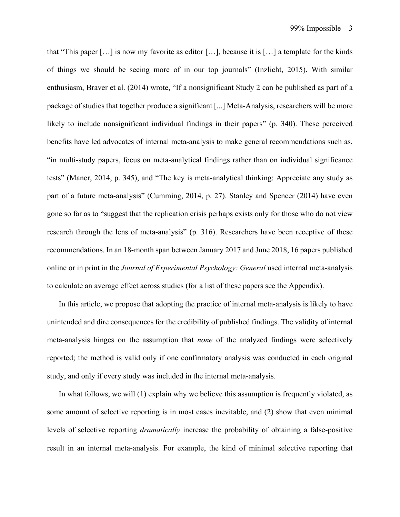that "This paper […] is now my favorite as editor […], because it is […] a template for the kinds of things we should be seeing more of in our top journals" (Inzlicht, 2015). With similar enthusiasm, Braver et al. (2014) wrote, "If a nonsignificant Study 2 can be published as part of a package of studies that together produce a significant [...] Meta-Analysis, researchers will be more likely to include nonsignificant individual findings in their papers" (p. 340). These perceived benefits have led advocates of internal meta-analysis to make general recommendations such as, "in multi-study papers, focus on meta-analytical findings rather than on individual significance tests" (Maner, 2014, p. 345), and "The key is meta-analytical thinking: Appreciate any study as part of a future meta-analysis" (Cumming, 2014, p. 27). Stanley and Spencer (2014) have even gone so far as to "suggest that the replication crisis perhaps exists only for those who do not view research through the lens of meta-analysis" (p. 316). Researchers have been receptive of these recommendations. In an 18-month span between January 2017 and June 2018, 16 papers published online or in print in the *Journal of Experimental Psychology: General* used internal meta-analysis to calculate an average effect across studies (for a list of these papers see the Appendix).

In this article, we propose that adopting the practice of internal meta-analysis is likely to have unintended and dire consequences for the credibility of published findings. The validity of internal meta-analysis hinges on the assumption that *none* of the analyzed findings were selectively reported; the method is valid only if one confirmatory analysis was conducted in each original study, and only if every study was included in the internal meta-analysis.

In what follows, we will (1) explain why we believe this assumption is frequently violated, as some amount of selective reporting is in most cases inevitable, and (2) show that even minimal levels of selective reporting *dramatically* increase the probability of obtaining a false-positive result in an internal meta-analysis. For example, the kind of minimal selective reporting that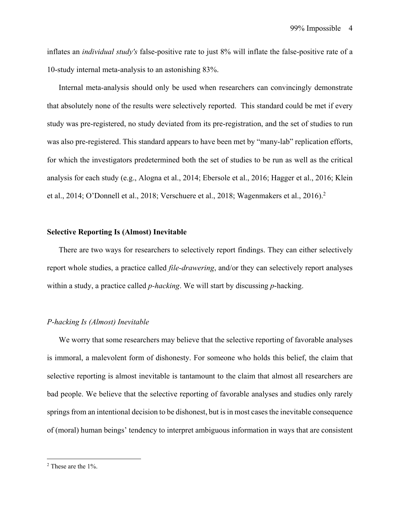inflates an *individual study's* false-positive rate to just 8% will inflate the false-positive rate of a 10-study internal meta-analysis to an astonishing 83%.

Internal meta-analysis should only be used when researchers can convincingly demonstrate that absolutely none of the results were selectively reported. This standard could be met if every study was pre-registered, no study deviated from its pre-registration, and the set of studies to run was also pre-registered. This standard appears to have been met by "many-lab" replication efforts, for which the investigators predetermined both the set of studies to be run as well as the critical analysis for each study (e.g., Alogna et al., 2014; Ebersole et al., 2016; Hagger et al., 2016; Klein et al., 2014; O'Donnell et al., 2018; Verschuere et al., 2018; Wagenmakers et al., 2016).<sup>2</sup>

#### **Selective Reporting Is (Almost) Inevitable**

There are two ways for researchers to selectively report findings. They can either selectively report whole studies, a practice called *file-drawering*, and/or they can selectively report analyses within a study, a practice called *p-hacking*. We will start by discussing *p*-hacking.

#### *P-hacking Is (Almost) Inevitable*

We worry that some researchers may believe that the selective reporting of favorable analyses is immoral, a malevolent form of dishonesty. For someone who holds this belief, the claim that selective reporting is almost inevitable is tantamount to the claim that almost all researchers are bad people. We believe that the selective reporting of favorable analyses and studies only rarely springs from an intentional decision to be dishonest, but is in most cases the inevitable consequence of (moral) human beings' tendency to interpret ambiguous information in ways that are consistent

<sup>&</sup>lt;sup>2</sup> These are the 1%.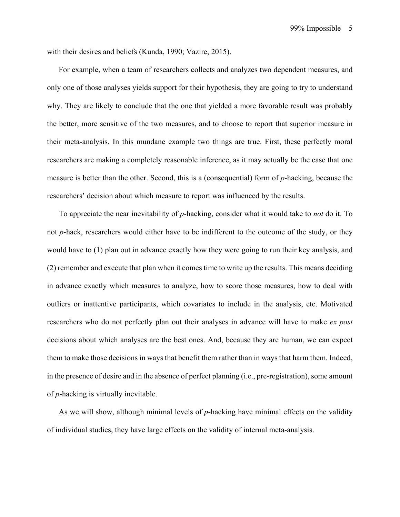with their desires and beliefs (Kunda, 1990; Vazire, 2015).

For example, when a team of researchers collects and analyzes two dependent measures, and only one of those analyses yields support for their hypothesis, they are going to try to understand why. They are likely to conclude that the one that yielded a more favorable result was probably the better, more sensitive of the two measures, and to choose to report that superior measure in their meta-analysis. In this mundane example two things are true. First, these perfectly moral researchers are making a completely reasonable inference, as it may actually be the case that one measure is better than the other. Second, this is a (consequential) form of *p*-hacking, because the researchers' decision about which measure to report was influenced by the results.

To appreciate the near inevitability of *p*-hacking, consider what it would take to *not* do it. To not *p*-hack, researchers would either have to be indifferent to the outcome of the study, or they would have to (1) plan out in advance exactly how they were going to run their key analysis, and (2) remember and execute that plan when it comes time to write up the results. This means deciding in advance exactly which measures to analyze, how to score those measures, how to deal with outliers or inattentive participants, which covariates to include in the analysis, etc. Motivated researchers who do not perfectly plan out their analyses in advance will have to make *ex post*  decisions about which analyses are the best ones. And, because they are human, we can expect them to make those decisions in ways that benefit them rather than in ways that harm them. Indeed, in the presence of desire and in the absence of perfect planning (i.e., pre-registration), some amount of *p*-hacking is virtually inevitable.

As we will show, although minimal levels of *p*-hacking have minimal effects on the validity of individual studies, they have large effects on the validity of internal meta-analysis.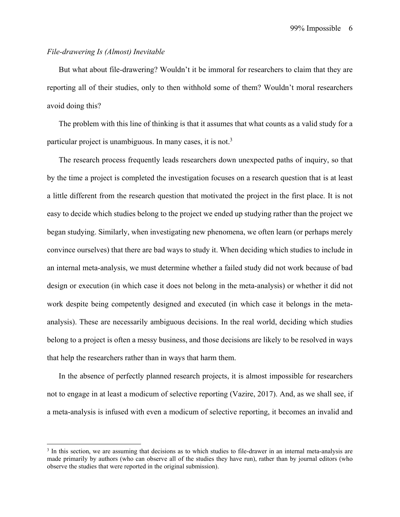## *File-drawering Is (Almost) Inevitable*

But what about file-drawering? Wouldn't it be immoral for researchers to claim that they are reporting all of their studies, only to then withhold some of them? Wouldn't moral researchers avoid doing this?

The problem with this line of thinking is that it assumes that what counts as a valid study for a particular project is unambiguous. In many cases, it is not.<sup>3</sup>

The research process frequently leads researchers down unexpected paths of inquiry, so that by the time a project is completed the investigation focuses on a research question that is at least a little different from the research question that motivated the project in the first place. It is not easy to decide which studies belong to the project we ended up studying rather than the project we began studying. Similarly, when investigating new phenomena, we often learn (or perhaps merely convince ourselves) that there are bad ways to study it. When deciding which studies to include in an internal meta-analysis, we must determine whether a failed study did not work because of bad design or execution (in which case it does not belong in the meta-analysis) or whether it did not work despite being competently designed and executed (in which case it belongs in the metaanalysis). These are necessarily ambiguous decisions. In the real world, deciding which studies belong to a project is often a messy business, and those decisions are likely to be resolved in ways that help the researchers rather than in ways that harm them.

In the absence of perfectly planned research projects, it is almost impossible for researchers not to engage in at least a modicum of selective reporting (Vazire, 2017). And, as we shall see, if a meta-analysis is infused with even a modicum of selective reporting, it becomes an invalid and

<sup>&</sup>lt;sup>3</sup> In this section, we are assuming that decisions as to which studies to file-drawer in an internal meta-analysis are made primarily by authors (who can observe all of the studies they have run), rather than by journal editors (who observe the studies that were reported in the original submission).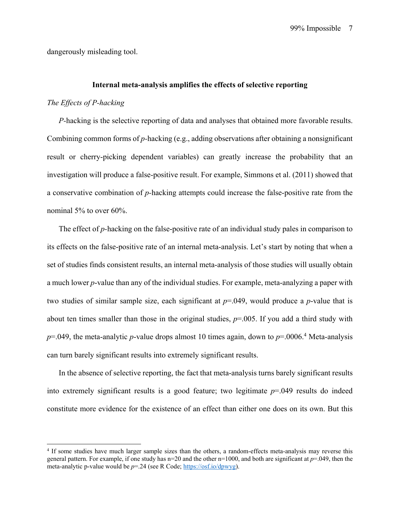dangerously misleading tool.

#### **Internal meta-analysis amplifies the effects of selective reporting**

#### *The Effects of P-hacking*

*P-*hacking is the selective reporting of data and analyses that obtained more favorable results. Combining common forms of *p-*hacking (e.g., adding observations after obtaining a nonsignificant result or cherry-picking dependent variables) can greatly increase the probability that an investigation will produce a false-positive result. For example, Simmons et al. (2011) showed that a conservative combination of *p-*hacking attempts could increase the false-positive rate from the nominal 5% to over 60%.

The effect of *p-*hacking on the false-positive rate of an individual study pales in comparison to its effects on the false-positive rate of an internal meta-analysis. Let's start by noting that when a set of studies finds consistent results, an internal meta-analysis of those studies will usually obtain a much lower *p*-value than any of the individual studies. For example, meta-analyzing a paper with two studies of similar sample size, each significant at *p*=.049, would produce a *p*-value that is about ten times smaller than those in the original studies, *p*=.005. If you add a third study with  $p=0.049$ , the meta-analytic p-value drops almost 10 times again, down to  $p=0.006$ .<sup>4</sup> Meta-analysis can turn barely significant results into extremely significant results.

In the absence of selective reporting, the fact that meta-analysis turns barely significant results into extremely significant results is a good feature; two legitimate *p*=.049 results do indeed constitute more evidence for the existence of an effect than either one does on its own. But this

<sup>&</sup>lt;sup>4</sup> If some studies have much larger sample sizes than the others, a random-effects meta-analysis may reverse this general pattern. For example, if one study has n=20 and the other n=1000, and both are significant at *p*=.049, then the meta-analytic p-value would be *p*=.24 (see R Code; https://osf.io/dpwyg).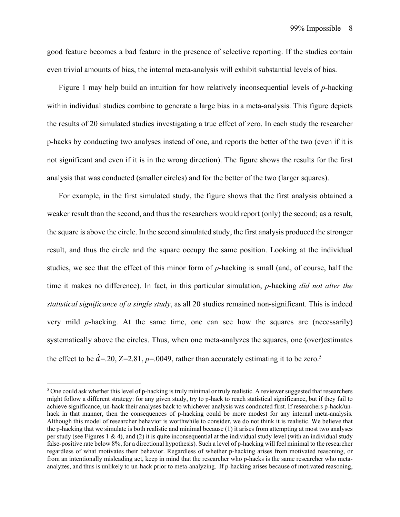good feature becomes a bad feature in the presence of selective reporting. If the studies contain even trivial amounts of bias, the internal meta-analysis will exhibit substantial levels of bias.

Figure 1 may help build an intuition for how relatively inconsequential levels of *p-*hacking within individual studies combine to generate a large bias in a meta-analysis. This figure depicts the results of 20 simulated studies investigating a true effect of zero. In each study the researcher p-hacks by conducting two analyses instead of one, and reports the better of the two (even if it is not significant and even if it is in the wrong direction). The figure shows the results for the first analysis that was conducted (smaller circles) and for the better of the two (larger squares).

 For example, in the first simulated study, the figure shows that the first analysis obtained a weaker result than the second, and thus the researchers would report (only) the second; as a result, the square is above the circle. In the second simulated study, the first analysis produced the stronger result, and thus the circle and the square occupy the same position. Looking at the individual studies, we see that the effect of this minor form of *p*-hacking is small (and, of course, half the time it makes no difference). In fact, in this particular simulation, *p-*hacking *did not alter the statistical significance of a single study*, as all 20 studies remained non-significant. This is indeed very mild *p*-hacking. At the same time, one can see how the squares are (necessarily) systematically above the circles. Thus, when one meta-analyzes the squares, one (over)estimates the effect to be  $\hat{d}$ =.20, Z=2.81, p=.0049, rather than accurately estimating it to be zero.<sup>5</sup>

 $5$  One could ask whether this level of p-hacking is truly minimal or truly realistic. A reviewer suggested that researchers might follow a different strategy: for any given study, try to p-hack to reach statistical significance, but if they fail to achieve significance, un-hack their analyses back to whichever analysis was conducted first. If researchers p-hack/unhack in that manner, then the consequences of p-hacking could be more modest for any internal meta-analysis. Although this model of researcher behavior is worthwhile to consider, we do not think it is realistic. We believe that the p-hacking that we simulate is both realistic and minimal because (1) it arises from attempting at most two analyses per study (see Figures 1 & 4), and (2) it is quite inconsequential at the individual study level (with an individual study false-positive rate below 8%, for a directional hypothesis). Such a level of p-hacking will feel minimal to the researcher regardless of what motivates their behavior. Regardless of whether p-hacking arises from motivated reasoning, or from an intentionally misleading act, keep in mind that the researcher who p-hacks is the same researcher who metaanalyzes, and thus is unlikely to un-hack prior to meta-analyzing. If p-hacking arises because of motivated reasoning,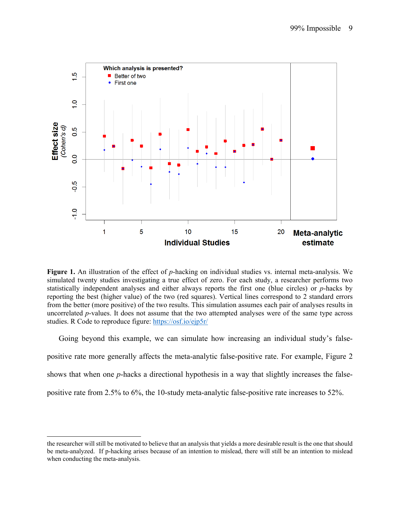

**Figure 1.** An illustration of the effect of *p*-hacking on individual studies vs. internal meta-analysis. We simulated twenty studies investigating a true effect of zero. For each study, a researcher performs two statistically independent analyses and either always reports the first one (blue circles) or *p*-hacks by reporting the best (higher value) of the two (red squares). Vertical lines correspond to 2 standard errors from the better (more positive) of the two results. This simulation assumes each pair of analyses results in uncorrelated *p*-values. It does not assume that the two attempted analyses were of the same type across studies. R Code to reproduce figure: https://osf.io/ejp5r/

Going beyond this example, we can simulate how increasing an individual study's falsepositive rate more generally affects the meta-analytic false-positive rate. For example, Figure 2 shows that when one *p*-hacks a directional hypothesis in a way that slightly increases the falsepositive rate from 2.5% to 6%, the 10-study meta-analytic false-positive rate increases to 52%.

the researcher will still be motivated to believe that an analysis that yields a more desirable result is the one that should be meta-analyzed. If p-hacking arises because of an intention to mislead, there will still be an intention to mislead when conducting the meta-analysis.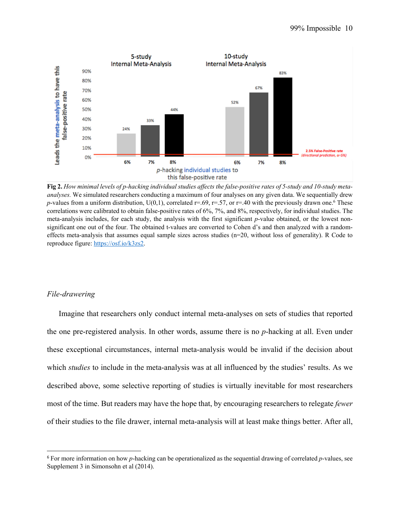

**Fig 2.** *How minimal levels of p-hacking individual studies affects the false-positive rates of 5-study and 10-study metaanalyses.* We simulated researchers conducting a maximum of four analyses on any given data. We sequentially drew *p*-values from a uniform distribution,  $U(0,1)$ , correlated r=.69, r=.57, or r=.40 with the previously drawn one.<sup>6</sup> These correlations were calibrated to obtain false-positive rates of 6%, 7%, and 8%, respectively, for individual studies. The meta-analysis includes, for each study, the analysis with the first significant *p*-value obtained, or the lowest nonsignificant one out of the four. The obtained t-values are converted to Cohen d's and then analyzed with a randomeffects meta-analysis that assumes equal sample sizes across studies (n=20, without loss of generality). R Code to reproduce figure: https://osf.io/k3zs2.

## *File-drawering*

 Imagine that researchers only conduct internal meta-analyses on sets of studies that reported the one pre-registered analysis. In other words, assume there is no *p*-hacking at all. Even under these exceptional circumstances, internal meta-analysis would be invalid if the decision about which *studies* to include in the meta-analysis was at all influenced by the studies' results. As we described above, some selective reporting of studies is virtually inevitable for most researchers most of the time. But readers may have the hope that, by encouraging researchers to relegate *fewer*  of their studies to the file drawer, internal meta-analysis will at least make things better. After all,

<sup>6</sup> For more information on how *p*-hacking can be operationalized as the sequential drawing of correlated *p*-values, see Supplement 3 in Simonsohn et al (2014).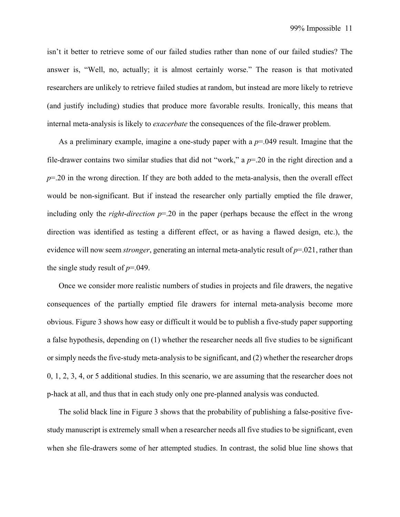isn't it better to retrieve some of our failed studies rather than none of our failed studies? The answer is, "Well, no, actually; it is almost certainly worse." The reason is that motivated researchers are unlikely to retrieve failed studies at random, but instead are more likely to retrieve (and justify including) studies that produce more favorable results. Ironically, this means that internal meta-analysis is likely to *exacerbate* the consequences of the file-drawer problem.

 As a preliminary example, imagine a one-study paper with a *p*=.049 result. Imagine that the file-drawer contains two similar studies that did not "work," a *p*=.20 in the right direction and a  $p=0.20$  in the wrong direction. If they are both added to the meta-analysis, then the overall effect would be non-significant. But if instead the researcher only partially emptied the file drawer, including only the *right*-*direction p*=.20 in the paper (perhaps because the effect in the wrong direction was identified as testing a different effect, or as having a flawed design, etc.), the evidence will now seem *stronger*, generating an internal meta-analytic result of *p*=.021, rather than the single study result of *p*=.049.

 Once we consider more realistic numbers of studies in projects and file drawers, the negative consequences of the partially emptied file drawers for internal meta-analysis become more obvious. Figure 3 shows how easy or difficult it would be to publish a five-study paper supporting a false hypothesis, depending on (1) whether the researcher needs all five studies to be significant or simply needs the five-study meta-analysis to be significant, and (2) whether the researcher drops 0, 1, 2, 3, 4, or 5 additional studies. In this scenario, we are assuming that the researcher does not p-hack at all, and thus that in each study only one pre-planned analysis was conducted.

The solid black line in Figure 3 shows that the probability of publishing a false-positive fivestudy manuscript is extremely small when a researcher needs all five studies to be significant, even when she file-drawers some of her attempted studies. In contrast, the solid blue line shows that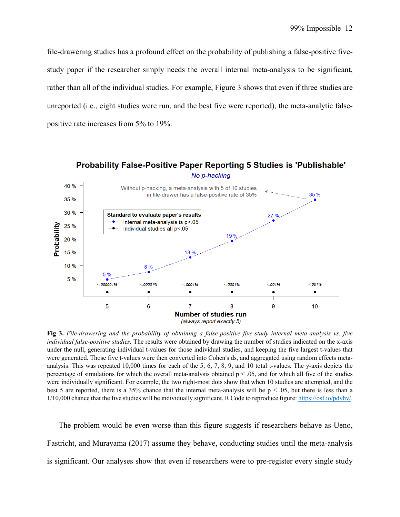file-drawering studies has a profound effect on the probability of publishing a false-positive fivestudy paper if the researcher simply needs the overall internal meta-analysis to be significant, rather than all of the individual studies. For example, Figure 3 shows that even if three studies are unreported (i.e., eight studies were run, and the best five were reported), the meta-analytic falsepositive rate increases from 5% to 19%.



**Fig 3.** *File-drawering and the probability of obtaining a false-positive five-study internal meta-analysis vs. five individual false-positive studies.* The results were obtained by drawing the number of studies indicated on the x-axis under the null, generating individual t-values for those individual studies, and keeping the five largest t-values that were generated. Those five t-values were then converted into Cohen's ds, and aggregated using random effects metaanalysis. This was repeated 10,000 times for each of the 5, 6, 7, 8, 9, and 10 total t-values. The y-axis depicts the percentage of simulations for which the overall meta-analysis obtained  $p < .05$ , and for which all five of the studies were individually significant. For example, the two right-most dots show that when 10 studies are attempted, and the best 5 are reported, there is a 35% chance that the internal meta-analysis will be  $p < .05$ , but there is less than a 1/10,000 chance that the five studies will be individually significant. R Code to reproduce figure: https://osf.io/pdyhv/.

 The problem would be even worse than this figure suggests if researchers behave as Ueno, Fastricht, and Murayama (2017) assume they behave, conducting studies until the meta-analysis is significant. Our analyses show that even if researchers were to pre-register every single study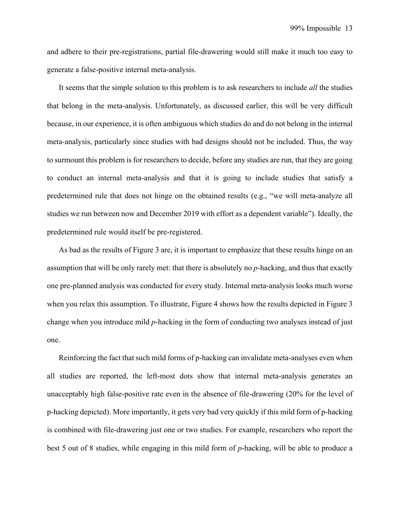and adhere to their pre-registrations, partial file-drawering would still make it much too easy to generate a false-positive internal meta-analysis.

It seems that the simple solution to this problem is to ask researchers to include *all* the studies that belong in the meta-analysis. Unfortunately, as discussed earlier, this will be very difficult because, in our experience, it is often ambiguous which studies do and do not belong in the internal meta-analysis, particularly since studies with bad designs should not be included. Thus, the way to surmount this problem is for researchers to decide, before any studies are run, that they are going to conduct an internal meta-analysis and that it is going to include studies that satisfy a predetermined rule that does not hinge on the obtained results (e.g., "we will meta-analyze all studies we run between now and December 2019 with effort as a dependent variable"). Ideally, the predetermined rule would itself be pre-registered.

As bad as the results of Figure 3 are, it is important to emphasize that these results hinge on an assumption that will be only rarely met: that there is absolutely no *p*-hacking, and thus that exactly one pre-planned analysis was conducted for every study. Internal meta-analysis looks much worse when you relax this assumption. To illustrate, Figure 4 shows how the results depicted in Figure 3 change when you introduce mild *p*-hacking in the form of conducting two analyses instead of just one.

Reinforcing the fact that such mild forms of p-hacking can invalidate meta-analyses even when all studies are reported, the left-most dots show that internal meta-analysis generates an unacceptably high false-positive rate even in the absence of file-drawering (20% for the level of p-hacking depicted). More importantly, it gets very bad very quickly if this mild form of p-hacking is combined with file-drawering just one or two studies. For example, researchers who report the best 5 out of 8 studies, while engaging in this mild form of *p*-hacking, will be able to produce a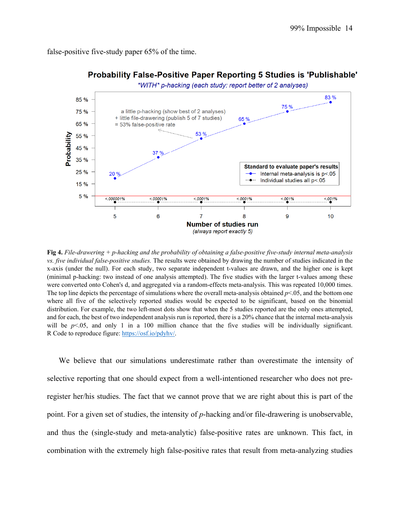false-positive five-study paper 65% of the time.



## Probability False-Positive Paper Reporting 5 Studies is 'Publishable'

**Fig 4.** *File-drawering + p-hacking and the probability of obtaining a false-positive five-study internal meta-analysis vs. five individual false-positive studies.* The results were obtained by drawing the number of studies indicated in the x-axis (under the null). For each study, two separate independent t-values are drawn, and the higher one is kept (minimal p-hacking: two instead of one analysis attempted). The five studies with the larger t-values among these were converted onto Cohen's d, and aggregated via a random-effects meta-analysis. This was repeated 10,000 times. The top line depicts the percentage of simulations where the overall meta-analysis obtained  $p<0.05$ , and the bottom one where all five of the selectively reported studies would be expected to be significant, based on the binomial distribution. For example, the two left-most dots show that when the 5 studies reported are the only ones attempted, and for each, the best of two independent analysis run is reported, there is a 20% chance that the internal meta-analysis will be *p*<.05, and only 1 in a 100 million chance that the five studies will be individually significant. R Code to reproduce figure: https://osf.io/pdyhv/.

We believe that our simulations underestimate rather than overestimate the intensity of selective reporting that one should expect from a well-intentioned researcher who does not preregister her/his studies. The fact that we cannot prove that we are right about this is part of the point. For a given set of studies, the intensity of *p*-hacking and/or file-drawering is unobservable, and thus the (single-study and meta-analytic) false-positive rates are unknown. This fact, in combination with the extremely high false-positive rates that result from meta-analyzing studies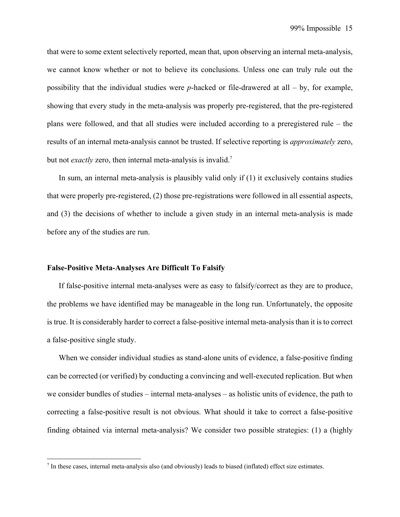that were to some extent selectively reported, mean that, upon observing an internal meta-analysis, we cannot know whether or not to believe its conclusions. Unless one can truly rule out the possibility that the individual studies were *p*-hacked or file-drawered at all – by, for example, showing that every study in the meta-analysis was properly pre-registered, that the pre-registered plans were followed, and that all studies were included according to a preregistered rule – the results of an internal meta-analysis cannot be trusted. If selective reporting is *approximately* zero, but not *exactly* zero, then internal meta-analysis is invalid.<sup>7</sup>

 In sum, an internal meta-analysis is plausibly valid only if (1) it exclusively contains studies that were properly pre-registered, (2) those pre-registrations were followed in all essential aspects, and (3) the decisions of whether to include a given study in an internal meta-analysis is made before any of the studies are run.

#### **False-Positive Meta-Analyses Are Difficult To Falsify**

If false-positive internal meta-analyses were as easy to falsify/correct as they are to produce, the problems we have identified may be manageable in the long run. Unfortunately, the opposite is true. It is considerably harder to correct a false-positive internal meta-analysis than it is to correct a false-positive single study.

When we consider individual studies as stand-alone units of evidence, a false-positive finding can be corrected (or verified) by conducting a convincing and well-executed replication. But when we consider bundles of studies – internal meta-analyses – as holistic units of evidence, the path to correcting a false-positive result is not obvious. What should it take to correct a false-positive finding obtained via internal meta-analysis? We consider two possible strategies: (1) a (highly

 $<sup>7</sup>$  In these cases, internal meta-analysis also (and obviously) leads to biased (inflated) effect size estimates.</sup>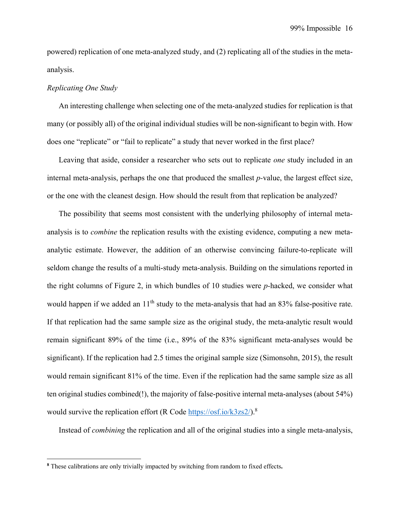powered) replication of one meta-analyzed study, and (2) replicating all of the studies in the metaanalysis.

#### *Replicating One Study*

An interesting challenge when selecting one of the meta-analyzed studies for replication is that many (or possibly all) of the original individual studies will be non-significant to begin with. How does one "replicate" or "fail to replicate" a study that never worked in the first place?

Leaving that aside, consider a researcher who sets out to replicate *one* study included in an internal meta-analysis, perhaps the one that produced the smallest *p-*value, the largest effect size, or the one with the cleanest design. How should the result from that replication be analyzed?

The possibility that seems most consistent with the underlying philosophy of internal metaanalysis is to *combine* the replication results with the existing evidence, computing a new metaanalytic estimate. However, the addition of an otherwise convincing failure-to-replicate will seldom change the results of a multi-study meta-analysis. Building on the simulations reported in the right columns of Figure 2, in which bundles of 10 studies were *p-*hacked, we consider what would happen if we added an  $11<sup>th</sup>$  study to the meta-analysis that had an 83% false-positive rate. If that replication had the same sample size as the original study, the meta-analytic result would remain significant 89% of the time (i.e., 89% of the 83% significant meta-analyses would be significant). If the replication had 2.5 times the original sample size (Simonsohn, 2015), the result would remain significant 81% of the time. Even if the replication had the same sample size as all ten original studies combined(!), the majority of false-positive internal meta-analyses (about 54%) would survive the replication effort (R Code https://osf.io/k3zs2/).<sup>8</sup>

Instead of *combining* the replication and all of the original studies into a single meta-analysis,

**<sup>8</sup>** These calibrations are only trivially impacted by switching from random to fixed effects**.**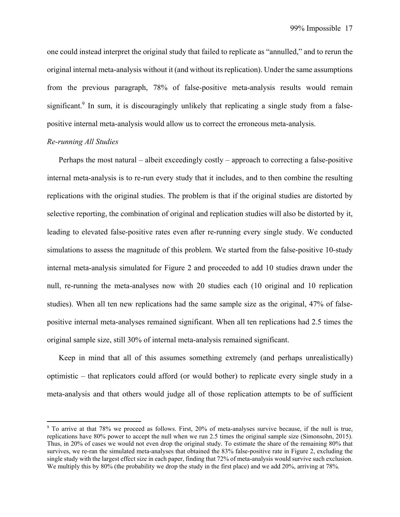one could instead interpret the original study that failed to replicate as "annulled," and to rerun the original internal meta-analysis without it (and without its replication). Under the same assumptions from the previous paragraph, 78% of false-positive meta-analysis results would remain significant.<sup>9</sup> In sum, it is discouragingly unlikely that replicating a single study from a falsepositive internal meta-analysis would allow us to correct the erroneous meta-analysis.

### *Re-running All Studies*

Perhaps the most natural – albeit exceedingly costly – approach to correcting a false-positive internal meta-analysis is to re-run every study that it includes, and to then combine the resulting replications with the original studies. The problem is that if the original studies are distorted by selective reporting, the combination of original and replication studies will also be distorted by it, leading to elevated false-positive rates even after re-running every single study. We conducted simulations to assess the magnitude of this problem. We started from the false-positive 10-study internal meta-analysis simulated for Figure 2 and proceeded to add 10 studies drawn under the null, re-running the meta-analyses now with 20 studies each (10 original and 10 replication studies). When all ten new replications had the same sample size as the original, 47% of falsepositive internal meta-analyses remained significant. When all ten replications had 2.5 times the original sample size, still 30% of internal meta-analysis remained significant.

Keep in mind that all of this assumes something extremely (and perhaps unrealistically) optimistic – that replicators could afford (or would bother) to replicate every single study in a meta-analysis and that others would judge all of those replication attempts to be of sufficient

<sup>&</sup>lt;sup>9</sup> To arrive at that 78% we proceed as follows. First, 20% of meta-analyses survive because, if the null is true, replications have 80% power to accept the null when we run 2.5 times the original sample size (Simonsohn, 2015). Thus, in 20% of cases we would not even drop the original study. To estimate the share of the remaining 80% that survives, we re-ran the simulated meta-analyses that obtained the 83% false-positive rate in Figure 2, excluding the single study with the largest effect size in each paper, finding that 72% of meta-analysis would survive such exclusion. We multiply this by 80% (the probability we drop the study in the first place) and we add 20%, arriving at 78%.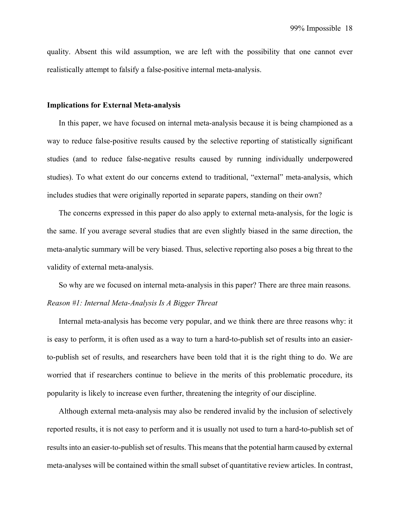quality. Absent this wild assumption, we are left with the possibility that one cannot ever realistically attempt to falsify a false-positive internal meta-analysis.

#### **Implications for External Meta-analysis**

 In this paper, we have focused on internal meta-analysis because it is being championed as a way to reduce false-positive results caused by the selective reporting of statistically significant studies (and to reduce false-negative results caused by running individually underpowered studies). To what extent do our concerns extend to traditional, "external" meta-analysis, which includes studies that were originally reported in separate papers, standing on their own?

 The concerns expressed in this paper do also apply to external meta-analysis, for the logic is the same. If you average several studies that are even slightly biased in the same direction, the meta-analytic summary will be very biased. Thus, selective reporting also poses a big threat to the validity of external meta-analysis.

 So why are we focused on internal meta-analysis in this paper? There are three main reasons. *Reason #1: Internal Meta-Analysis Is A Bigger Threat* 

 Internal meta-analysis has become very popular, and we think there are three reasons why: it is easy to perform, it is often used as a way to turn a hard-to-publish set of results into an easierto-publish set of results, and researchers have been told that it is the right thing to do. We are worried that if researchers continue to believe in the merits of this problematic procedure, its popularity is likely to increase even further, threatening the integrity of our discipline.

 Although external meta-analysis may also be rendered invalid by the inclusion of selectively reported results, it is not easy to perform and it is usually not used to turn a hard-to-publish set of results into an easier-to-publish set of results. This means that the potential harm caused by external meta-analyses will be contained within the small subset of quantitative review articles. In contrast,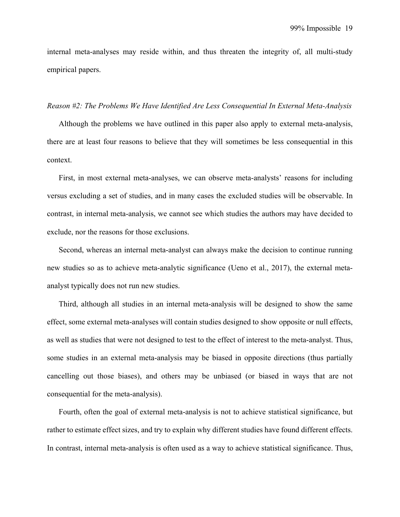internal meta-analyses may reside within, and thus threaten the integrity of, all multi-study empirical papers.

#### *Reason #2: The Problems We Have Identified Are Less Consequential In External Meta-Analysis*

 Although the problems we have outlined in this paper also apply to external meta-analysis, there are at least four reasons to believe that they will sometimes be less consequential in this context.

First, in most external meta-analyses, we can observe meta-analysts' reasons for including versus excluding a set of studies, and in many cases the excluded studies will be observable. In contrast, in internal meta-analysis, we cannot see which studies the authors may have decided to exclude, nor the reasons for those exclusions.

 Second, whereas an internal meta-analyst can always make the decision to continue running new studies so as to achieve meta-analytic significance (Ueno et al., 2017), the external metaanalyst typically does not run new studies.

Third, although all studies in an internal meta-analysis will be designed to show the same effect, some external meta-analyses will contain studies designed to show opposite or null effects, as well as studies that were not designed to test to the effect of interest to the meta-analyst. Thus, some studies in an external meta-analysis may be biased in opposite directions (thus partially cancelling out those biases), and others may be unbiased (or biased in ways that are not consequential for the meta-analysis).

Fourth, often the goal of external meta-analysis is not to achieve statistical significance, but rather to estimate effect sizes, and try to explain why different studies have found different effects. In contrast, internal meta-analysis is often used as a way to achieve statistical significance. Thus,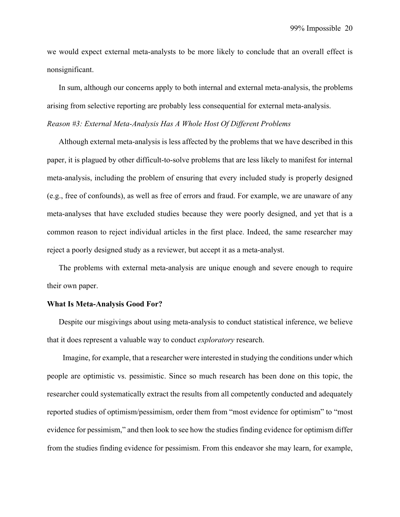99% Impossible 20

we would expect external meta-analysts to be more likely to conclude that an overall effect is nonsignificant.

In sum, although our concerns apply to both internal and external meta-analysis, the problems arising from selective reporting are probably less consequential for external meta-analysis.

*Reason #3: External Meta-Analysis Has A Whole Host Of Different Problems* 

 Although external meta-analysis is less affected by the problems that we have described in this paper, it is plagued by other difficult-to-solve problems that are less likely to manifest for internal meta-analysis, including the problem of ensuring that every included study is properly designed (e.g., free of confounds), as well as free of errors and fraud. For example, we are unaware of any meta-analyses that have excluded studies because they were poorly designed, and yet that is a common reason to reject individual articles in the first place. Indeed, the same researcher may reject a poorly designed study as a reviewer, but accept it as a meta-analyst.

The problems with external meta-analysis are unique enough and severe enough to require their own paper.

#### **What Is Meta-Analysis Good For?**

Despite our misgivings about using meta-analysis to conduct statistical inference, we believe that it does represent a valuable way to conduct *exploratory* research.

Imagine, for example, that a researcher were interested in studying the conditions under which people are optimistic vs. pessimistic. Since so much research has been done on this topic, the researcher could systematically extract the results from all competently conducted and adequately reported studies of optimism/pessimism, order them from "most evidence for optimism" to "most evidence for pessimism," and then look to see how the studies finding evidence for optimism differ from the studies finding evidence for pessimism. From this endeavor she may learn, for example,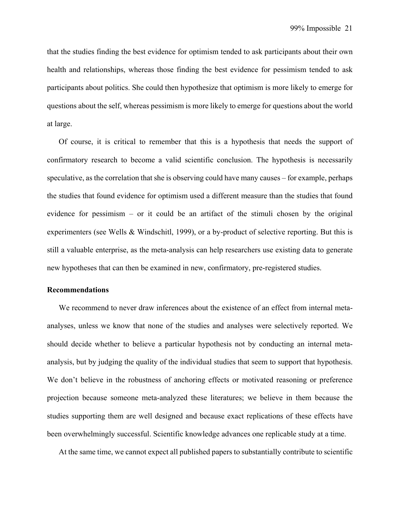that the studies finding the best evidence for optimism tended to ask participants about their own health and relationships, whereas those finding the best evidence for pessimism tended to ask participants about politics. She could then hypothesize that optimism is more likely to emerge for questions about the self, whereas pessimism is more likely to emerge for questions about the world at large.

Of course, it is critical to remember that this is a hypothesis that needs the support of confirmatory research to become a valid scientific conclusion. The hypothesis is necessarily speculative, as the correlation that she is observing could have many causes – for example, perhaps the studies that found evidence for optimism used a different measure than the studies that found evidence for pessimism – or it could be an artifact of the stimuli chosen by the original experimenters (see Wells & Windschitl, 1999), or a by-product of selective reporting. But this is still a valuable enterprise, as the meta-analysis can help researchers use existing data to generate new hypotheses that can then be examined in new, confirmatory, pre-registered studies.

#### **Recommendations**

We recommend to never draw inferences about the existence of an effect from internal metaanalyses, unless we know that none of the studies and analyses were selectively reported. We should decide whether to believe a particular hypothesis not by conducting an internal metaanalysis, but by judging the quality of the individual studies that seem to support that hypothesis. We don't believe in the robustness of anchoring effects or motivated reasoning or preference projection because someone meta-analyzed these literatures; we believe in them because the studies supporting them are well designed and because exact replications of these effects have been overwhelmingly successful. Scientific knowledge advances one replicable study at a time.

At the same time, we cannot expect all published papers to substantially contribute to scientific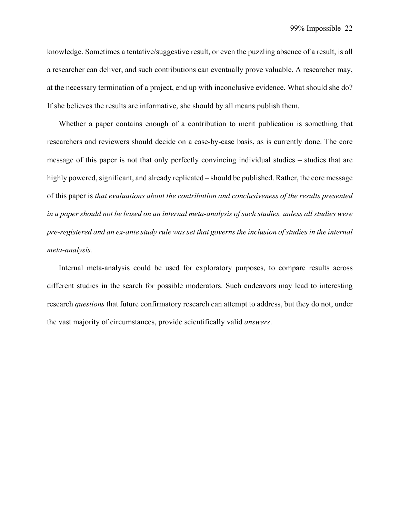knowledge. Sometimes a tentative/suggestive result, or even the puzzling absence of a result, is all a researcher can deliver, and such contributions can eventually prove valuable. A researcher may, at the necessary termination of a project, end up with inconclusive evidence. What should she do? If she believes the results are informative, she should by all means publish them.

Whether a paper contains enough of a contribution to merit publication is something that researchers and reviewers should decide on a case-by-case basis, as is currently done. The core message of this paper is not that only perfectly convincing individual studies – studies that are highly powered, significant, and already replicated – should be published. Rather, the core message of this paper is *that evaluations about the contribution and conclusiveness of the results presented in a paper should not be based on an internal meta-analysis of such studies, unless all studies were pre-registered and an ex-ante study rule was set that governs the inclusion of studies in the internal meta-analysis.* 

Internal meta-analysis could be used for exploratory purposes, to compare results across different studies in the search for possible moderators. Such endeavors may lead to interesting research *questions* that future confirmatory research can attempt to address, but they do not, under the vast majority of circumstances, provide scientifically valid *answers*.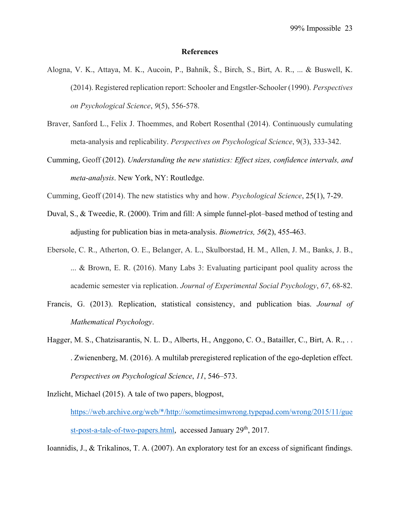#### **References**

- Alogna, V. K., Attaya, M. K., Aucoin, P., Bahník, Š., Birch, S., Birt, A. R., ... & Buswell, K. (2014). Registered replication report: Schooler and Engstler-Schooler (1990). *Perspectives on Psychological Science*, *9*(5), 556-578.
- Braver, Sanford L., Felix J. Thoemmes, and Robert Rosenthal (2014). Continuously cumulating meta-analysis and replicability. *Perspectives on Psychological Science*, 9(3), 333-342.
- Cumming, Geoff (2012). *Understanding the new statistics: Effect sizes, confidence intervals, and meta-analysis*. New York, NY: Routledge.
- Cumming, Geoff (2014). The new statistics why and how. *Psychological Science*, 25(1), 7-29.
- Duval, S., & Tweedie, R. (2000). Trim and fill: A simple funnel‐plot–based method of testing and adjusting for publication bias in meta‐analysis. *Biometrics, 56*(2), 455-463.
- Ebersole, C. R., Atherton, O. E., Belanger, A. L., Skulborstad, H. M., Allen, J. M., Banks, J. B., ... & Brown, E. R. (2016). Many Labs 3: Evaluating participant pool quality across the academic semester via replication. *Journal of Experimental Social Psychology*, *67*, 68-82.
- Francis, G. (2013). Replication, statistical consistency, and publication bias. *Journal of Mathematical Psychology*.
- Hagger, M. S., Chatzisarantis, N. L. D., Alberts, H., Anggono, C. O., Batailler, C., Birt, A. R., . . . Zwienenberg, M. (2016). A multilab preregistered replication of the ego-depletion effect. *Perspectives on Psychological Science*, *11*, 546–573.

Inzlicht, Michael (2015). A tale of two papers, blogpost,

https://web.archive.org/web/\*/http://sometimesimwrong.typepad.com/wrong/2015/11/gue st-post-a-tale-of-two-papers.html, accessed January 29<sup>th</sup>, 2017.

Ioannidis, J., & Trikalinos, T. A. (2007). An exploratory test for an excess of significant findings.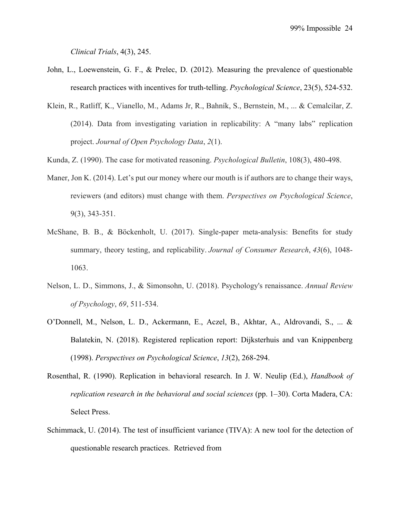*Clinical Trials*, 4(3), 245.

- John, L., Loewenstein, G. F., & Prelec, D. (2012). Measuring the prevalence of questionable research practices with incentives for truth-telling. *Psychological Science*, 23(5), 524-532.
- Klein, R., Ratliff, K., Vianello, M., Adams Jr, R., Bahník, S., Bernstein, M., ... & Cemalcilar, Z. (2014). Data from investigating variation in replicability: A "many labs" replication project. *Journal of Open Psychology Data*, *2*(1).
- Kunda, Z. (1990). The case for motivated reasoning. *Psychological Bulletin*, 108(3), 480-498.
- Maner, Jon K. (2014). Let's put our money where our mouth is if authors are to change their ways, reviewers (and editors) must change with them. *Perspectives on Psychological Science*, 9(3), 343-351.
- McShane, B. B., & Böckenholt, U. (2017). Single-paper meta-analysis: Benefits for study summary, theory testing, and replicability. *Journal of Consumer Research*, *43*(6), 1048- 1063.
- Nelson, L. D., Simmons, J., & Simonsohn, U. (2018). Psychology's renaissance. *Annual Review of Psychology*, *69*, 511-534.
- O'Donnell, M., Nelson, L. D., Ackermann, E., Aczel, B., Akhtar, A., Aldrovandi, S., ... & Balatekin, N. (2018). Registered replication report: Dijksterhuis and van Knippenberg (1998). *Perspectives on Psychological Science*, *13*(2), 268-294.
- Rosenthal, R. (1990). Replication in behavioral research. In J. W. Neulip (Ed.), *Handbook of replication research in the behavioral and social sciences (pp. 1–30). Corta Madera, CA:* Select Press.
- Schimmack, U. (2014). The test of insufficient variance (TIVA): A new tool for the detection of questionable research practices. Retrieved from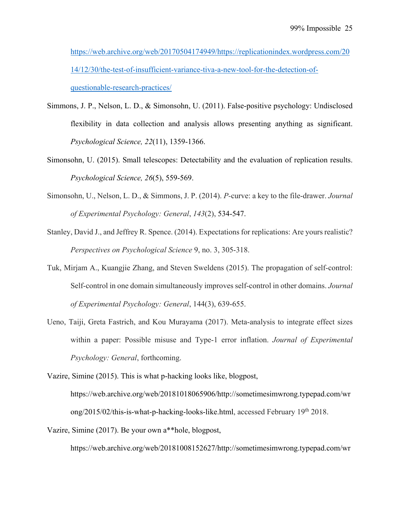https://web.archive.org/web/20170504174949/https://replicationindex.wordpress.com/20 14/12/30/the-test-of-insufficient-variance-tiva-a-new-tool-for-the-detection-ofquestionable-research-practices/

- Simmons, J. P., Nelson, L. D., & Simonsohn, U. (2011). False-positive psychology: Undisclosed flexibility in data collection and analysis allows presenting anything as significant. *Psychological Science, 22*(11), 1359-1366.
- Simonsohn, U. (2015). Small telescopes: Detectability and the evaluation of replication results. *Psychological Science, 26*(5), 559-569.
- Simonsohn, U., Nelson, L. D., & Simmons, J. P. (2014). *P-*curve: a key to the file-drawer. *Journal of Experimental Psychology: General*, *143*(2), 534-547.
- Stanley, David J., and Jeffrey R. Spence. (2014). Expectations for replications: Are yours realistic? *Perspectives on Psychological Science* 9, no. 3, 305-318.
- Tuk, Mirjam A., Kuangjie Zhang, and Steven Sweldens (2015). The propagation of self-control: Self-control in one domain simultaneously improves self-control in other domains. *Journal of Experimental Psychology: General*, 144(3), 639-655.
- Ueno, Taiji, Greta Fastrich, and Kou Murayama (2017). Meta-analysis to integrate effect sizes within a paper: Possible misuse and Type-1 error inflation. *Journal of Experimental Psychology: General*, forthcoming.
- Vazire, Simine (2015). This is what p-hacking looks like, blogpost, https://web.archive.org/web/20181018065906/http://sometimesimwrong.typepad.com/wr

ong/2015/02/this-is-what-p-hacking-looks-like.html, accessed February 19<sup>th</sup> 2018.

Vazire, Simine (2017). Be your own a\*\*hole, blogpost,

https://web.archive.org/web/20181008152627/http://sometimesimwrong.typepad.com/wr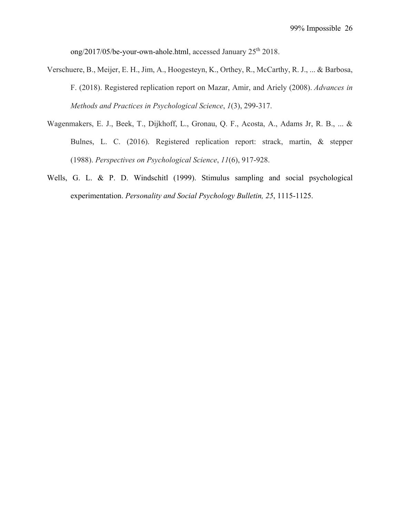ong/2017/05/be-your-own-ahole.html, accessed January 25<sup>th</sup> 2018.

- Verschuere, B., Meijer, E. H., Jim, A., Hoogesteyn, K., Orthey, R., McCarthy, R. J., ... & Barbosa, F. (2018). Registered replication report on Mazar, Amir, and Ariely (2008). *Advances in Methods and Practices in Psychological Science*, *1*(3), 299-317.
- Wagenmakers, E. J., Beek, T., Dijkhoff, L., Gronau, Q. F., Acosta, A., Adams Jr, R. B., ... & Bulnes, L. C. (2016). Registered replication report: strack, martin, & stepper (1988). *Perspectives on Psychological Science*, *11*(6), 917-928.
- Wells, G. L. & P. D. Windschitl (1999). Stimulus sampling and social psychological experimentation. *Personality and Social Psychology Bulletin, 25*, 1115-1125.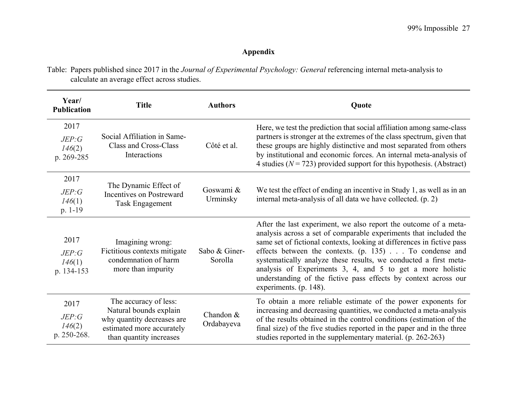# **Appendix**

Table: Papers published since 2017 in the *Journal of Experimental Psychology: General* referencing internal meta-analysis to calculate an average effect across studies.

| Year/<br><b>Publication</b>            | <b>Title</b>                                                                                                                          | <b>Authors</b>           | <b>Quote</b>                                                                                                                                                                                                                                                                                                                                                                                                                                                                                             |
|----------------------------------------|---------------------------------------------------------------------------------------------------------------------------------------|--------------------------|----------------------------------------------------------------------------------------------------------------------------------------------------------------------------------------------------------------------------------------------------------------------------------------------------------------------------------------------------------------------------------------------------------------------------------------------------------------------------------------------------------|
| 2017<br>JEP:G<br>146(2)<br>p. 269-285  | Social Affiliation in Same-<br>Class and Cross-Class<br>Interactions                                                                  | Côté et al.              | Here, we test the prediction that social affiliation among same-class<br>partners is stronger at the extremes of the class spectrum, given that<br>these groups are highly distinctive and most separated from others<br>by institutional and economic forces. An internal meta-analysis of<br>4 studies ( $N = 723$ ) provided support for this hypothesis. (Abstract)                                                                                                                                  |
| 2017<br>JEP:G<br>146(1)<br>p. 1-19     | The Dynamic Effect of<br>Incentives on Postreward<br><b>Task Engagement</b>                                                           | Goswami &<br>Urminsky    | We test the effect of ending an incentive in Study 1, as well as in an<br>internal meta-analysis of all data we have collected. (p. 2)                                                                                                                                                                                                                                                                                                                                                                   |
| 2017<br>JEP:G<br>146(1)<br>p. 134-153  | Imagining wrong:<br>Fictitious contexts mitigate<br>condemnation of harm<br>more than impurity                                        | Sabo & Giner-<br>Sorolla | After the last experiment, we also report the outcome of a meta-<br>analysis across a set of comparable experiments that included the<br>same set of fictional contexts, looking at differences in fictive pass<br>effects between the contexts. (p. 135) To condense and<br>systematically analyze these results, we conducted a first meta-<br>analysis of Experiments 3, 4, and 5 to get a more holistic<br>understanding of the fictive pass effects by context across our<br>experiments. (p. 148). |
| 2017<br>JEP:G<br>146(2)<br>p. 250-268. | The accuracy of less:<br>Natural bounds explain<br>why quantity decreases are<br>estimated more accurately<br>than quantity increases | Chandon &<br>Ordabayeva  | To obtain a more reliable estimate of the power exponents for<br>increasing and decreasing quantities, we conducted a meta-analysis<br>of the results obtained in the control conditions (estimation of the<br>final size) of the five studies reported in the paper and in the three<br>studies reported in the supplementary material. (p. 262-263)                                                                                                                                                    |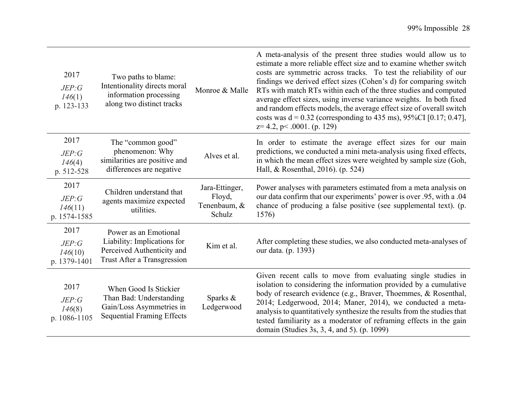| 2017<br>JEP:G<br>146(1)<br>p. 123-133    | Two paths to blame:<br>Intentionality directs moral<br>information processing<br>along two distinct tracks        | Monroe & Malle                                     | A meta-analysis of the present three studies would allow us to<br>estimate a more reliable effect size and to examine whether switch<br>costs are symmetric across tracks. To test the reliability of our<br>findings we derived effect sizes (Cohen's d) for comparing switch<br>RTs with match RTs within each of the three studies and computed<br>average effect sizes, using inverse variance weights. In both fixed<br>and random effects models, the average effect size of overall switch<br>costs was $d = 0.32$ (corresponding to 435 ms), 95%CI [0.17; 0.47],<br>$z=4.2$ , p< .0001. (p. 129) |
|------------------------------------------|-------------------------------------------------------------------------------------------------------------------|----------------------------------------------------|----------------------------------------------------------------------------------------------------------------------------------------------------------------------------------------------------------------------------------------------------------------------------------------------------------------------------------------------------------------------------------------------------------------------------------------------------------------------------------------------------------------------------------------------------------------------------------------------------------|
| 2017<br>JEP:G<br>146(4)<br>p. 512-528    | The "common good"<br>phenomenon: Why<br>similarities are positive and<br>differences are negative                 | Alves et al.                                       | In order to estimate the average effect sizes for our main<br>predictions, we conducted a mini meta-analysis using fixed effects,<br>in which the mean effect sizes were weighted by sample size (Goh,<br>Hall, & Rosenthal, 2016). (p. 524)                                                                                                                                                                                                                                                                                                                                                             |
| 2017<br>JEP:G<br>146(11)<br>p. 1574-1585 | Children understand that<br>agents maximize expected<br>utilities.                                                | Jara-Ettinger,<br>Floyd,<br>Tenenbaum, &<br>Schulz | Power analyses with parameters estimated from a meta analysis on<br>our data confirm that our experiments' power is over .95, with a .04<br>chance of producing a false positive (see supplemental text). (p.<br>1576)                                                                                                                                                                                                                                                                                                                                                                                   |
| 2017<br>JEP:G<br>146(10)<br>p. 1379-1401 | Power as an Emotional<br>Liability: Implications for<br>Perceived Authenticity and<br>Trust After a Transgression | Kim et al.                                         | After completing these studies, we also conducted meta-analyses of<br>our data. (p. 1393)                                                                                                                                                                                                                                                                                                                                                                                                                                                                                                                |
| 2017<br>JEP:G<br>146(8)<br>p. 1086-1105  | When Good Is Stickier<br>Than Bad: Understanding<br>Gain/Loss Asymmetries in<br><b>Sequential Framing Effects</b> | Sparks &<br>Ledgerwood                             | Given recent calls to move from evaluating single studies in<br>isolation to considering the information provided by a cumulative<br>body of research evidence (e.g., Braver, Thoemmes, & Rosenthal,<br>2014; Ledgerwood, 2014; Maner, 2014), we conducted a meta-<br>analysis to quantitatively synthesize the results from the studies that<br>tested familiarity as a moderator of reframing effects in the gain<br>domain (Studies 3s, 3, 4, and 5). (p. 1099)                                                                                                                                       |
|                                          |                                                                                                                   |                                                    |                                                                                                                                                                                                                                                                                                                                                                                                                                                                                                                                                                                                          |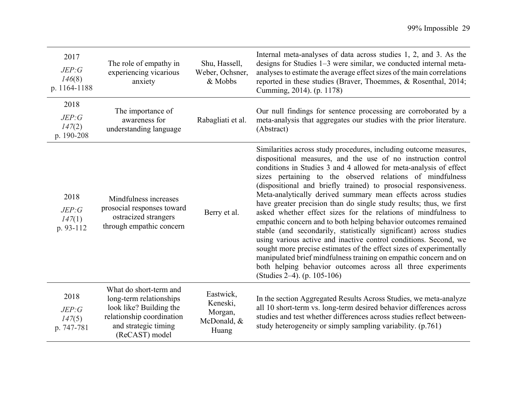| 2017<br>JEP:G<br>146(8)<br>p. 1164-1188 | The role of empathy in<br>experiencing vicarious<br>anxiety                                                                                         | Shu, Hassell,<br>Weber, Ochsner,<br>& Mobbs              | Internal meta-analyses of data across studies 1, 2, and 3. As the<br>designs for Studies 1–3 were similar, we conducted internal meta-<br>analyses to estimate the average effect sizes of the main correlations<br>reported in these studies (Braver, Thoemmes, & Rosenthal, 2014;<br>Cumming, 2014). (p. 1178)                                                                                                                                                                                                                                                                                                                                                                                                                                                                                                                                                                                                                                                                                          |
|-----------------------------------------|-----------------------------------------------------------------------------------------------------------------------------------------------------|----------------------------------------------------------|-----------------------------------------------------------------------------------------------------------------------------------------------------------------------------------------------------------------------------------------------------------------------------------------------------------------------------------------------------------------------------------------------------------------------------------------------------------------------------------------------------------------------------------------------------------------------------------------------------------------------------------------------------------------------------------------------------------------------------------------------------------------------------------------------------------------------------------------------------------------------------------------------------------------------------------------------------------------------------------------------------------|
| 2018<br>JEP:G<br>147(2)<br>p. 190-208   | The importance of<br>awareness for<br>understanding language                                                                                        | Rabagliati et al.                                        | Our null findings for sentence processing are corroborated by a<br>meta-analysis that aggregates our studies with the prior literature.<br>(Abstract)                                                                                                                                                                                                                                                                                                                                                                                                                                                                                                                                                                                                                                                                                                                                                                                                                                                     |
| 2018<br>JEP:G<br>147(1)<br>p. 93-112    | Mindfulness increases<br>prosocial responses toward<br>ostracized strangers<br>through empathic concern                                             | Berry et al.                                             | Similarities across study procedures, including outcome measures,<br>dispositional measures, and the use of no instruction control<br>conditions in Studies 3 and 4 allowed for meta-analysis of effect<br>sizes pertaining to the observed relations of mindfulness<br>(dispositional and briefly trained) to prosocial responsiveness.<br>Meta-analytically derived summary mean effects across studies<br>have greater precision than do single study results; thus, we first<br>asked whether effect sizes for the relations of mindfulness to<br>empathic concern and to both helping behavior outcomes remained<br>stable (and secondarily, statistically significant) across studies<br>using various active and inactive control conditions. Second, we<br>sought more precise estimates of the effect sizes of experimentally<br>manipulated brief mindfulness training on empathic concern and on<br>both helping behavior outcomes across all three experiments<br>(Studies 2–4). (p. 105-106) |
| 2018<br>JEP:G<br>147(5)<br>p. 747-781   | What do short-term and<br>long-term relationships<br>look like? Building the<br>relationship coordination<br>and strategic timing<br>(ReCAST) model | Eastwick,<br>Keneski,<br>Morgan,<br>McDonald, &<br>Huang | In the section Aggregated Results Across Studies, we meta-analyze<br>all 10 short-term vs. long-term desired behavior differences across<br>studies and test whether differences across studies reflect between-<br>study heterogeneity or simply sampling variability. (p.761)                                                                                                                                                                                                                                                                                                                                                                                                                                                                                                                                                                                                                                                                                                                           |